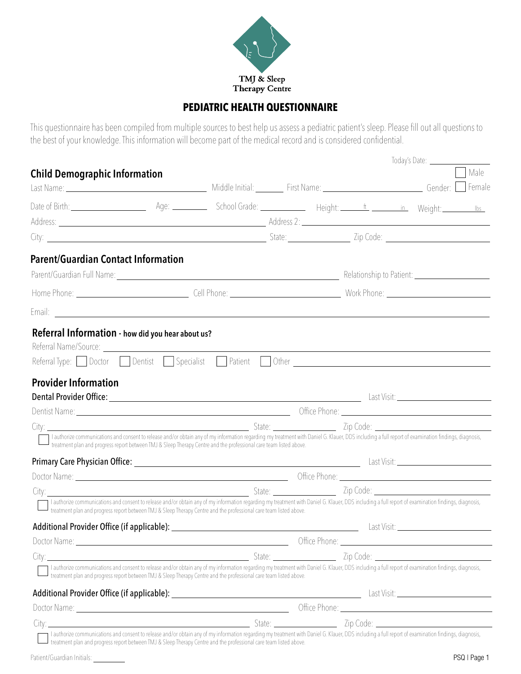

### **PEDIATRIC HEALTH QUESTIONNAIRE**

This questionnaire has been compiled from multiple sources to best help us assess a pediatric patient's sleep. Please fill out all questions to the best of your knowledge. This information will become part of the medical record and is considered confidential.

|                                                                                                                                                                                                                                                                                                                                   |                                                                                                                                                                                                                                      |               |  | Today's Date: <u>______________</u>                                                                                   |      |
|-----------------------------------------------------------------------------------------------------------------------------------------------------------------------------------------------------------------------------------------------------------------------------------------------------------------------------------|--------------------------------------------------------------------------------------------------------------------------------------------------------------------------------------------------------------------------------------|---------------|--|-----------------------------------------------------------------------------------------------------------------------|------|
| <b>Child Demographic Information</b>                                                                                                                                                                                                                                                                                              |                                                                                                                                                                                                                                      |               |  |                                                                                                                       | Male |
| Last Name: Gender: Semale Contract Contract Contract Contract Contract Contract Contract Contract Contract Contract Contract Contract Contract Contract Contract Contract Contract Contract Contract Contract Contract Contrac                                                                                                    |                                                                                                                                                                                                                                      |               |  |                                                                                                                       |      |
| Date of Birth: Weight: Later of Birth: Later Meight: Later of Birth: Later of Birth: Later of Birth: Later of Birth: Later of Birth: Later of Birth: Later of Birth: Later of Birth: Later of Birth: Later of Birth: Later of                                                                                                     |                                                                                                                                                                                                                                      |               |  |                                                                                                                       |      |
|                                                                                                                                                                                                                                                                                                                                   |                                                                                                                                                                                                                                      |               |  |                                                                                                                       |      |
| City: 2ip Code: 2010 21 2ip Code: 21 2ip Code: 21 2ip Code: 21 2ip Code: 21 2ip Code: 22ip Code: 21 2ip Code: 21 2ip Code: 21 2ip Code: 21 2ip Code: 21 2ip Code: 21 2ip Code: 21 2ip Code: 21 2ip Code: 21 2ip Code: 21 2ip C                                                                                                    |                                                                                                                                                                                                                                      |               |  |                                                                                                                       |      |
| <b>Parent/Guardian Contact Information</b>                                                                                                                                                                                                                                                                                        |                                                                                                                                                                                                                                      |               |  |                                                                                                                       |      |
|                                                                                                                                                                                                                                                                                                                                   |                                                                                                                                                                                                                                      |               |  |                                                                                                                       |      |
|                                                                                                                                                                                                                                                                                                                                   |                                                                                                                                                                                                                                      |               |  |                                                                                                                       |      |
|                                                                                                                                                                                                                                                                                                                                   |                                                                                                                                                                                                                                      |               |  |                                                                                                                       |      |
| Referral Information - how did you hear about us?                                                                                                                                                                                                                                                                                 |                                                                                                                                                                                                                                      |               |  |                                                                                                                       |      |
| Referral Type: Doctor Dentist Specialist Patient Other Communication and Type: Doctor Dentist Specialist Patient Other                                                                                                                                                                                                            |                                                                                                                                                                                                                                      |               |  |                                                                                                                       |      |
| <b>Provider Information</b>                                                                                                                                                                                                                                                                                                       |                                                                                                                                                                                                                                      |               |  |                                                                                                                       |      |
|                                                                                                                                                                                                                                                                                                                                   |                                                                                                                                                                                                                                      |               |  |                                                                                                                       |      |
|                                                                                                                                                                                                                                                                                                                                   |                                                                                                                                                                                                                                      |               |  |                                                                                                                       |      |
| I authorize communications and consent to release and/or obtain any of my information regarding my treatment with Daniel G. Klauer, DDS including a full report of examination findings, diagnosis,                                                                                                                               |                                                                                                                                                                                                                                      |               |  |                                                                                                                       |      |
| -treatment plan and progress report between TMJ & Sleep Therapy Centre and the professional care team listed above.                                                                                                                                                                                                               |                                                                                                                                                                                                                                      |               |  |                                                                                                                       |      |
|                                                                                                                                                                                                                                                                                                                                   |                                                                                                                                                                                                                                      |               |  |                                                                                                                       |      |
|                                                                                                                                                                                                                                                                                                                                   |                                                                                                                                                                                                                                      |               |  |                                                                                                                       |      |
|                                                                                                                                                                                                                                                                                                                                   |                                                                                                                                                                                                                                      |               |  |                                                                                                                       |      |
| I authorize communications and consent to release and/or obtain any of my information regarding my treatment with Daniel G. Klauer, DDS including a full report of examination findings, diagnosis,<br>$\perp$ treatment plan and progress report between TMJ & Sleep Therapy Centre and the professional care team listed above. |                                                                                                                                                                                                                                      |               |  |                                                                                                                       |      |
|                                                                                                                                                                                                                                                                                                                                   |                                                                                                                                                                                                                                      |               |  |                                                                                                                       |      |
|                                                                                                                                                                                                                                                                                                                                   |                                                                                                                                                                                                                                      | Office Phone: |  | <u> 1989 - Johann Barn, mars ann an t-Amhain Aonaich an t-Aonaich an t-Aonaich an t-Aonaich an t-Aonaich an t-Aon</u> |      |
|                                                                                                                                                                                                                                                                                                                                   | <u> Exp. Code: Exp. Code: Exp. Code: Exp. Code: Exp. Code: Exp. Code: Exp. Code: Exp. Code: Exp. Code: Exp. Code: Exp. Code: Exp. Code: Exp. Code: Exp. Code: Exp. Code: Exp. Code: Exp. Code: Exp. Code: Exp. Code: Exp. Code: </u> |               |  |                                                                                                                       |      |
| I authorize communications and consent to release and/or obtain any of my information regarding my treatment with Daniel G. Klauer, DDS including a full report of examination findings, diagnosis,<br>treatment plan and progress report between TMJ & Sleep Therapy Centre and the professional care team listed above.         |                                                                                                                                                                                                                                      |               |  |                                                                                                                       |      |
|                                                                                                                                                                                                                                                                                                                                   |                                                                                                                                                                                                                                      |               |  |                                                                                                                       |      |
|                                                                                                                                                                                                                                                                                                                                   |                                                                                                                                                                                                                                      |               |  |                                                                                                                       |      |
|                                                                                                                                                                                                                                                                                                                                   |                                                                                                                                                                                                                                      |               |  |                                                                                                                       |      |
| I authorize communications and consent to release and/or obtain any of my information regarding my treatment with Daniel G. Klauer, DDS including a full report of examination findings, diagnosis,<br>treatment plan and progress report between TMJ & Sleep Therapy Centre and the professional care team listed above.         |                                                                                                                                                                                                                                      |               |  |                                                                                                                       |      |

Patient/Guardian Initials: PSQ | Page 1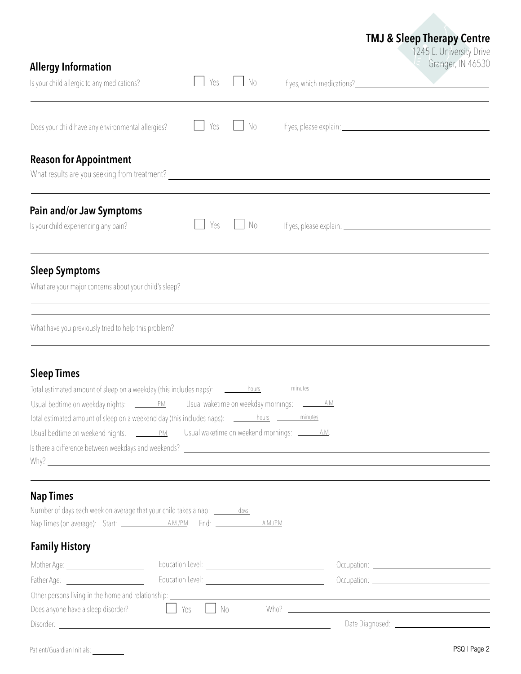| <b>Allergy Information</b>                                                                                                                                                                                                                                                                                                                                                              |                  |      |              | <b>TMJ &amp; Sleep Therapy Centre</b><br>1245 E. University Drive<br>Granger, IN 46530                                                                                                                                               |
|-----------------------------------------------------------------------------------------------------------------------------------------------------------------------------------------------------------------------------------------------------------------------------------------------------------------------------------------------------------------------------------------|------------------|------|--------------|--------------------------------------------------------------------------------------------------------------------------------------------------------------------------------------------------------------------------------------|
| Is your child allergic to any medications?                                                                                                                                                                                                                                                                                                                                              | Yes              | No.  |              | If yes, which medications?<br><u>If</u> yes, which medications?                                                                                                                                                                      |
| Does your child have any environmental allergies?                                                                                                                                                                                                                                                                                                                                       | Yes              | No.  |              |                                                                                                                                                                                                                                      |
| <b>Reason for Appointment</b><br>What results are you seeking from treatment?<br>The matter of the contract of the contract of the contract of the contract of the contract of the contract of                                                                                                                                                                                          |                  |      |              |                                                                                                                                                                                                                                      |
| Pain and/or Jaw Symptoms<br>Is your child experiencing any pain?                                                                                                                                                                                                                                                                                                                        | Yes              | - No |              |                                                                                                                                                                                                                                      |
| <b>Sleep Symptoms</b><br>What are your major concerns about your child's sleep?                                                                                                                                                                                                                                                                                                         |                  |      |              |                                                                                                                                                                                                                                      |
| What have you previously tried to help this problem?                                                                                                                                                                                                                                                                                                                                    |                  |      |              |                                                                                                                                                                                                                                      |
| <b>Sleep Times</b><br>Total estimated amount of sleep on a weekend day (this includes naps): <u>_________hours __________minutes</u>                                                                                                                                                                                                                                                    |                  |      | <u>. A.M</u> |                                                                                                                                                                                                                                      |
| <b>Nap Times</b><br>Number of days each week on average that your child takes a nap: _______ days_                                                                                                                                                                                                                                                                                      |                  |      |              |                                                                                                                                                                                                                                      |
| <b>Family History</b>                                                                                                                                                                                                                                                                                                                                                                   |                  |      |              |                                                                                                                                                                                                                                      |
| Mother Age: __________________________                                                                                                                                                                                                                                                                                                                                                  |                  |      |              |                                                                                                                                                                                                                                      |
| Father Age: <u>________________________________</u>                                                                                                                                                                                                                                                                                                                                     |                  |      |              |                                                                                                                                                                                                                                      |
| Other persons living in the home and relationship: entity and the material content of the home and relationship:<br>Does anyone have a sleep disorder?<br>Disorder: National Account of the Contract of the Contract of the Contract of the Contract of the Contract of the Contract of the Contract of the Contract of the Contract of the Contract of the Contract of the Contract of | Yes<br>$\Box$ No |      |              | Who? <u>the contract of the contract of the contract of the contract of the contract of the contract of the contract of the contract of the contract of the contract of the contract of the contract of the contract of the cont</u> |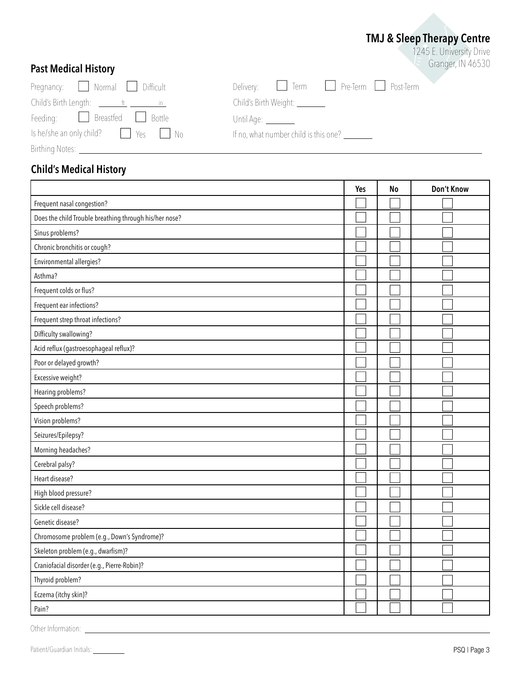## **TMJ & Sleep Therapy Centre**

1245 E. University Drive Granger, IN 46530

| <b>Past Medical History</b> |
|-----------------------------|
|                             |

| Pregnancy: Mormal Difficult                                     | Delivery: <u>I</u> Term               |
|-----------------------------------------------------------------|---------------------------------------|
| Child's Birth Length: $\frac{f}{f}$ $\frac{f}{f}$ $\frac{f}{f}$ | Child's Birth Weight: _______         |
| Feeding: <u>Latin Breastfed</u> Bottle                          | Until Age: <u>_________</u>           |
|                                                                 | If no, what number child is this one? |
| Birthing Notes: __                                              |                                       |

| $Pregnancy:$ <b>Normal</b> Difficult                               | Delivery: <u>I</u> Term <u>I</u> Pre-Term <u>I</u> Post-Term                                                                                                                                                                                                                                                                                                                                      |
|--------------------------------------------------------------------|---------------------------------------------------------------------------------------------------------------------------------------------------------------------------------------------------------------------------------------------------------------------------------------------------------------------------------------------------------------------------------------------------|
| Child's Birth Length: $\frac{f}{f}$ $\frac{f}{f}$ $\frac{f}{f}$ in | Child's Birth Weight: _______                                                                                                                                                                                                                                                                                                                                                                     |
| Feeding: Breastfed Bottle                                          | Until Age: ________                                                                                                                                                                                                                                                                                                                                                                               |
| Is he/she an only child? $\vert \vert$ Yes $\vert \vert$ No        | If no, what number child is this one? $\frac{1}{\sqrt{1-\frac{1}{\sqrt{1-\frac{1}{\sqrt{1-\frac{1}{\sqrt{1-\frac{1}{\sqrt{1-\frac{1}{\sqrt{1-\frac{1}{\sqrt{1-\frac{1}{\sqrt{1-\frac{1}{\sqrt{1-\frac{1}{\sqrt{1-\frac{1}{\sqrt{1-\frac{1}{\sqrt{1-\frac{1}{\sqrt{1-\frac{1}{\sqrt{1-\frac{1}{\sqrt{1-\frac{1}{\sqrt{1-\frac{1}{\sqrt{1-\frac{1}{\sqrt{1-\frac{1}{\sqrt{1-\frac{1}{\sqrt{1-\frac$ |

**Child's Medical History**

|                                                        | Yes | <b>No</b> | Don't Know |
|--------------------------------------------------------|-----|-----------|------------|
| Frequent nasal congestion?                             |     |           |            |
| Does the child Trouble breathing through his/her nose? |     |           |            |
| Sinus problems?                                        |     |           |            |
| Chronic bronchitis or cough?                           |     |           |            |
| Environmental allergies?                               |     |           |            |
| Asthma?                                                |     |           |            |
| Frequent colds or flus?                                |     |           |            |
| Frequent ear infections?                               |     |           |            |
| Frequent strep throat infections?                      |     |           |            |
| Difficulty swallowing?                                 |     |           |            |
| Acid reflux (gastroesophageal reflux)?                 |     |           |            |
| Poor or delayed growth?                                |     |           |            |
| Excessive weight?                                      |     |           |            |
| Hearing problems?                                      |     |           |            |
| Speech problems?                                       |     |           |            |
| Vision problems?                                       |     |           |            |
| Seizures/Epilepsy?                                     |     |           |            |
| Morning headaches?                                     |     |           |            |
| Cerebral palsy?                                        |     |           |            |
| Heart disease?                                         |     |           |            |
| High blood pressure?                                   |     |           |            |
| Sickle cell disease?                                   |     |           |            |
| Genetic disease?                                       |     |           |            |
| Chromosome problem (e.g., Down's Syndrome)?            |     |           |            |
| Skeleton problem (e.g., dwarfism)?                     |     |           |            |
| Craniofacial disorder (e.g., Pierre-Robin)?            |     |           |            |
| Thyroid problem?                                       |     |           |            |
| Eczema (itchy skin)?                                   |     |           |            |
| Pain?                                                  |     |           |            |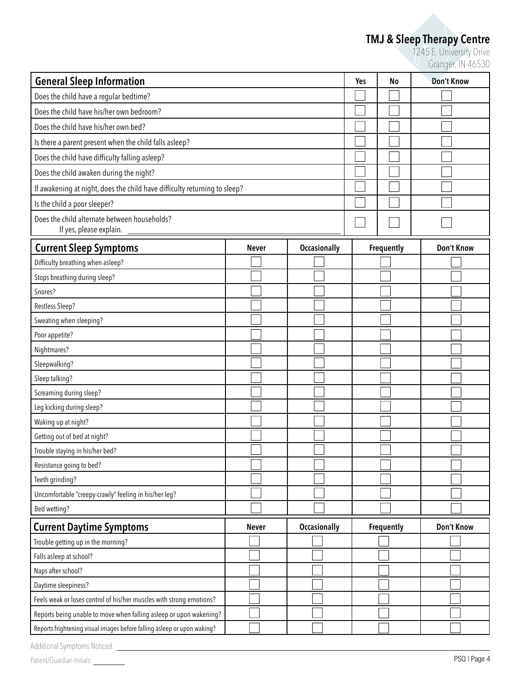### **TMJ & Sleep Therapy Centre**

1245 E. University Drive Granger, IN 46530

| <b>General Sleep Information</b>                                          |              |                     |  | No                | Don't Know |
|---------------------------------------------------------------------------|--------------|---------------------|--|-------------------|------------|
| Does the child have a regular bedtime?                                    |              |                     |  |                   |            |
| Does the child have his/her own bedroom?                                  |              |                     |  |                   |            |
| Does the child have his/her own bed?                                      |              |                     |  |                   |            |
| Is there a parent present when the child falls asleep?                    |              |                     |  |                   |            |
| Does the child have difficulty falling asleep?                            |              |                     |  |                   |            |
| Does the child awaken during the night?                                   |              |                     |  |                   |            |
| If awakening at night, does the child have difficulty returning to sleep? |              |                     |  |                   |            |
| Is the child a poor sleeper?                                              |              |                     |  |                   |            |
| Does the child alternate between households?<br>If yes, please explain.   |              |                     |  |                   |            |
| <b>Current Sleep Symptoms</b>                                             | <b>Never</b> | <b>Occasionally</b> |  | <b>Frequently</b> | Don't Know |
| Difficulty breathing when asleep?                                         |              |                     |  |                   |            |
| Stops breathing during sleep?                                             |              |                     |  |                   |            |
| Snores?                                                                   |              |                     |  |                   |            |
| Restless Sleep?                                                           |              |                     |  |                   |            |
| Sweating when sleeping?                                                   |              |                     |  |                   |            |
| Poor appetite?                                                            |              |                     |  |                   |            |
| Nightmares?                                                               |              |                     |  |                   |            |
| Sleepwalking?                                                             |              |                     |  |                   |            |
| Sleep talking?                                                            |              |                     |  |                   |            |
| Screaming during sleep?                                                   |              |                     |  |                   |            |
| Leg kicking during sleep?                                                 |              |                     |  |                   |            |
| Waking up at night?                                                       |              |                     |  |                   |            |
| Getting out of bed at night?                                              |              |                     |  |                   |            |
| Trouble staying in his/her bed?                                           |              |                     |  |                   |            |
| Resistance going to bed?                                                  |              |                     |  |                   |            |
| Teeth grinding?                                                           |              |                     |  |                   |            |
| Uncomfortable "creepy-crawly" feeling in his/her leg?                     |              |                     |  |                   |            |
| Bed wetting?                                                              |              |                     |  |                   |            |
| <b>Current Daytime Symptoms</b>                                           | <b>Never</b> | <b>Occasionally</b> |  | Frequently        | Don't Know |
| Trouble getting up in the morning?                                        |              |                     |  |                   |            |
| Falls asleep at school?                                                   |              |                     |  |                   |            |
| Naps after school?                                                        |              |                     |  |                   |            |
| Daytime sleepiness?                                                       |              |                     |  |                   |            |
| Feels weak or loses control of his/her muscles with strong emotions?      |              |                     |  |                   |            |
| Reports being unable to move when falling asleep or upon wakening?        |              |                     |  |                   |            |
| Reports frightening visual images before falling asleep or upon waking?   |              |                     |  |                   |            |
| Additional Symptoms Noticed:                                              |              |                     |  |                   |            |

Patient/Guardian Initials: